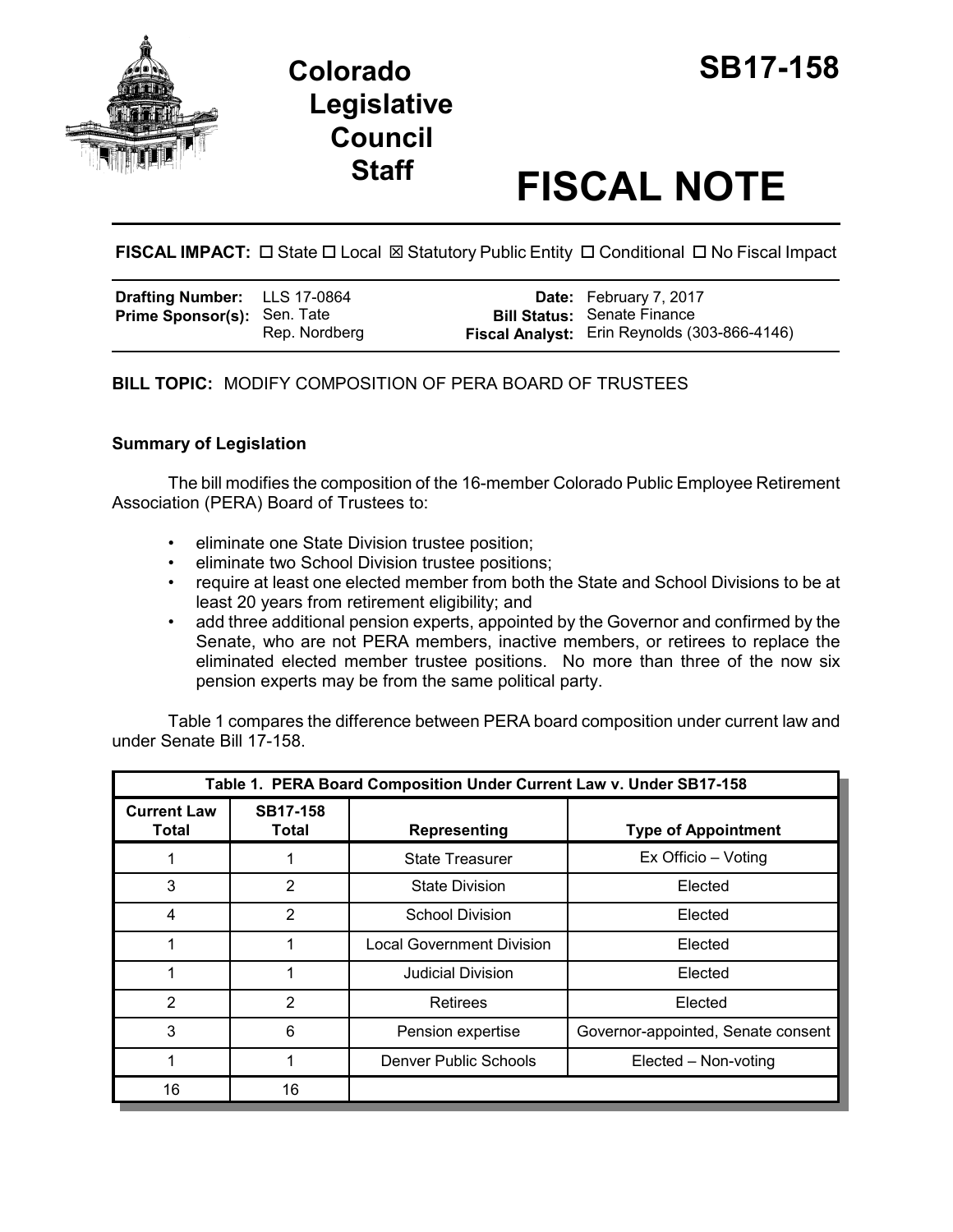

## **Colorado SB17-158 Legislative Council**

# **Staff FISCAL NOTE**

**FISCAL IMPACT:** □ State □ Local ⊠ Statutory Public Entity □ Conditional □ No Fiscal Impact

| Drafting Number: LLS 17-0864       |               | <b>Date:</b> February 7, 2017                                                      |
|------------------------------------|---------------|------------------------------------------------------------------------------------|
| <b>Prime Sponsor(s): Sen. Tate</b> | Rep. Nordberg | <b>Bill Status:</b> Senate Finance<br>Fiscal Analyst: Erin Reynolds (303-866-4146) |
|                                    |               |                                                                                    |

**BILL TOPIC:** MODIFY COMPOSITION OF PERA BOARD OF TRUSTEES

### **Summary of Legislation**

The bill modifies the composition of the 16-member Colorado Public Employee Retirement Association (PERA) Board of Trustees to:

- eliminate one State Division trustee position;
- eliminate two School Division trustee positions;
- require at least one elected member from both the State and School Divisions to be at least 20 years from retirement eligibility; and
- add three additional pension experts, appointed by the Governor and confirmed by the Senate, who are not PERA members, inactive members, or retirees to replace the eliminated elected member trustee positions. No more than three of the now six pension experts may be from the same political party.

Table 1 compares the difference between PERA board composition under current law and under Senate Bill 17-158.

| Table 1. PERA Board Composition Under Current Law v. Under SB17-158 |                          |                                  |                                    |  |
|---------------------------------------------------------------------|--------------------------|----------------------------------|------------------------------------|--|
| <b>Current Law</b><br>Total                                         | <b>SB17-158</b><br>Total | Representing                     | <b>Type of Appointment</b>         |  |
|                                                                     |                          | <b>State Treasurer</b>           | Ex Officio - Voting                |  |
| 3                                                                   | 2                        | <b>State Division</b>            | Elected                            |  |
| 4                                                                   | 2                        | <b>School Division</b>           | Elected                            |  |
|                                                                     |                          | <b>Local Government Division</b> | Elected                            |  |
|                                                                     |                          | Judicial Division                | Elected                            |  |
| 2                                                                   | $\overline{2}$           | Retirees                         | Elected                            |  |
| 3                                                                   | 6                        | Pension expertise                | Governor-appointed, Senate consent |  |
|                                                                     |                          | Denver Public Schools            | Elected – Non-voting               |  |
| 16                                                                  | 16                       |                                  |                                    |  |